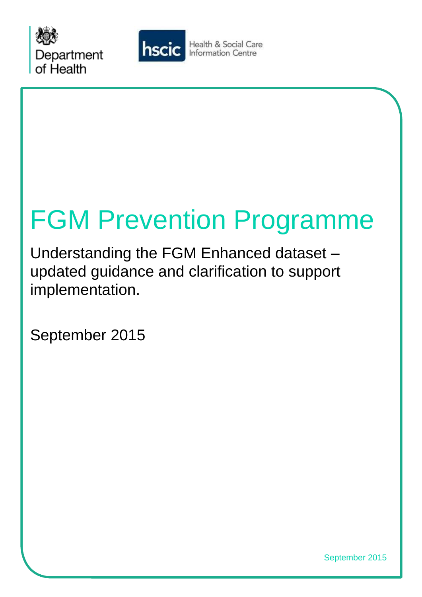



Health & Social Care **Information Centre** 

# FGM Prevention Programme

Understanding the FGM Enhanced dataset – updated guidance and clarification to support implementation.

September 2015

September 2015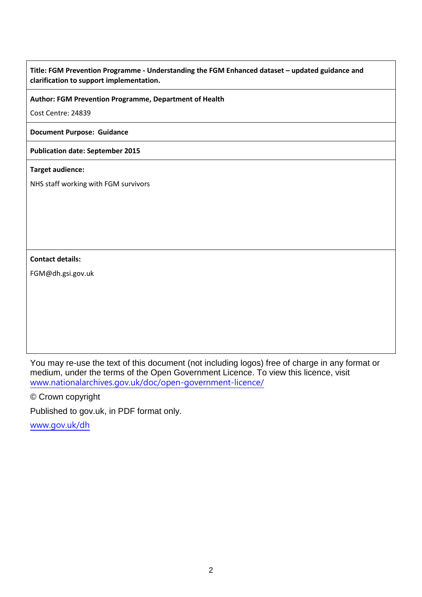## **Title: FGM Prevention Programme - Understanding the FGM Enhanced dataset – updated guidance and clarification to support implementation.**

#### **Author: FGM Prevention Programme, Department of Health**

Cost Centre: 24839

#### **Document Purpose: Guidance**

#### **Publication date: September 2015**

#### **Target audience:**

NHS staff working with FGM survivors

#### **Contact details:**

FGM@dh.gsi.gov.uk

 You may re-use the text of this document (not including logos) free of charge in any format or medium, under the terms of the Open Government Licence. To view this licence, visit [www.nationalarchives.gov.uk/doc/open-government-licence/](http://www.nationalarchives.gov.uk/doc/open-government-licence/) 

© Crown copyright

Published to gov.uk, in PDF format only.

[www.gov.uk/dh](http://www.gov.uk/dh)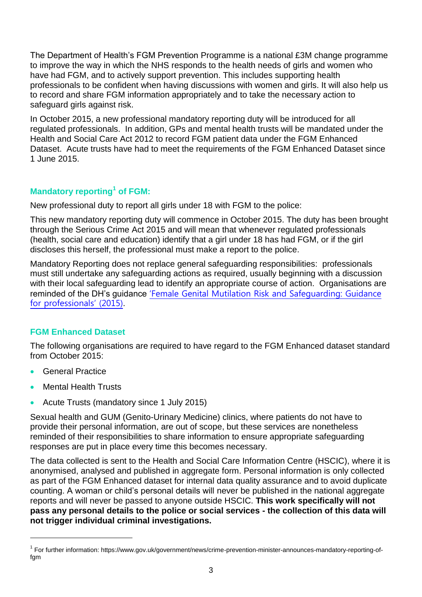to improve the way in which the NHS responds to the health needs of girls and women who have had FGM, and to actively support prevention. This includes supporting health The Department of Health's FGM Prevention Programme is a national £3M change programme professionals to be confident when having discussions with women and girls. It will also help us to record and share FGM information appropriately and to take the necessary action to safeguard girls against risk.

 In October 2015, a new professional mandatory reporting duty will be introduced for all Health and Social Care Act 2012 to record FGM patient data under the FGM Enhanced regulated professionals. In addition, GPs and mental health trusts will be mandated under the Dataset. Acute trusts have had to meet the requirements of the FGM Enhanced Dataset since 1 June 2015.

# **Mandatory reporting1 of FGM:**

New professional duty to report all girls under 18 with FGM to the police:

 discloses this herself, the professional must make a report to the police. This new mandatory reporting duty will commence in October 2015. The duty has been brought through the Serious Crime Act 2015 and will mean that whenever regulated professionals (health, social care and education) identify that a girl under 18 has had FGM, or if the girl

Mandatory Reporting does not replace general safeguarding responsibilities: professionals must still undertake any safeguarding actions as required, usually beginning with a discussion with their local safeguarding lead to identify an appropriate course of action. Organisations are reminded of the DH's guidance ['Female Genital Mutilation Risk and Safeguarding: Guidance](https://www.gov.uk/government/publications/safeguarding-women-and-girls-at-risk-of-fgm)  [for professionals'](https://www.gov.uk/government/publications/safeguarding-women-and-girls-at-risk-of-fgm) (2015).

# **FGM Enhanced Dataset**

The following organisations are required to have regard to the FGM Enhanced dataset standard from October 2015:

**General Practice** 

l

- Mental Health Trusts
- Acute Trusts (mandatory since 1 July 2015)

 Sexual health and GUM (Genito-Urinary Medicine) clinics, where patients do not have to provide their personal information, are out of scope, but these services are nonetheless reminded of their responsibilities to share information to ensure appropriate safeguarding responses are put in place every time this becomes necessary.

 anonymised, analysed and published in aggregate form. Personal information is only collected  reports and will never be passed to anyone outside HSCIC. **This work specifically will not pass any personal details to the police or social services - the collection of this data will**  The data collected is sent to the Health and Social Care Information Centre (HSCIC), where it is as part of the FGM Enhanced dataset for internal data quality assurance and to avoid duplicate counting. A woman or child's personal details will never be published in the national aggregate **not trigger individual criminal investigations.** 

<sup>1</sup> For further information: https://www.gov.uk/government/news/crime-prevention-minister-announces-mandatory-reporting-offam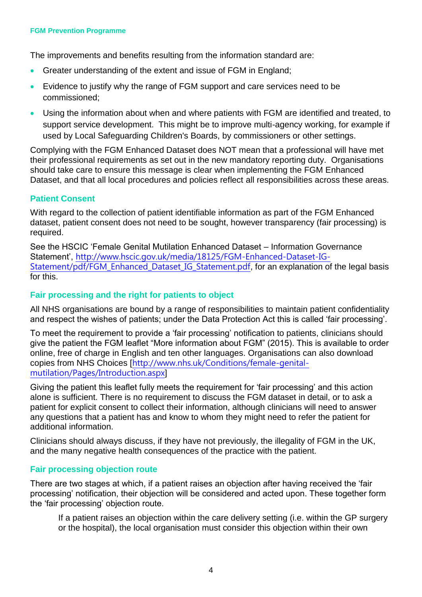#### **FGM Prevention Programme**

The improvements and benefits resulting from the information standard are:

- Greater understanding of the extent and issue of FGM in England;
- Evidence to justify why the range of FGM support and care services need to be commissioned;
- Using the information about when and where patients with FGM are identified and treated, to support service development. This might be to improve multi-agency working, for example if used by Local Safeguarding Children's Boards, by commissioners or other settings.

 Dataset, and that all local procedures and policies reflect all responsibilities across these areas. Complying with the FGM Enhanced Dataset does NOT mean that a professional will have met their professional requirements as set out in the new mandatory reporting duty. Organisations should take care to ensure this message is clear when implementing the FGM Enhanced

## **Patient Consent**

 With regard to the collection of patient identifiable information as part of the FGM Enhanced dataset, patient consent does not need to be sought, however transparency (fair processing) is required.

See the HSCIC 'Female Genital Mutilation Enhanced Dataset – Information Governance Statement', [http://www.hscic.gov.uk/media/18125/FGM-Enhanced-Dataset-IG-](http://www.hscic.gov.uk/media/18125/FGM-Enhanced-Dataset-IG-Statement/pdf/FGM_Enhanced_Dataset_IG_Statement.pdf)[Statement/pdf/FGM\\_Enhanced\\_Dataset\\_IG\\_Statement.pdf](http://www.hscic.gov.uk/media/18125/FGM-Enhanced-Dataset-IG-Statement/pdf/FGM_Enhanced_Dataset_IG_Statement.pdf), for an explanation of the legal basis for this.

## **Fair processing and the right for patients to object**

 and respect the wishes of patients; under the Data Protection Act this is called 'fair processing'. All NHS organisations are bound by a range of responsibilities to maintain patient confidentiality

 online, free of charge in English and ten other languages. Organisations can also download To meet the requirement to provide a 'fair processing' notification to patients, clinicians should give the patient the FGM leaflet "More information about FGM" (2015). This is available to order copies from NHS Choices [[http://www.nhs.uk/Conditions/female-genital](http://www.nhs.uk/Conditions/female-genital-mutilation/Pages/Introduction.aspx)[mutilation/Pages/Introduction.aspx](http://www.nhs.uk/Conditions/female-genital-mutilation/Pages/Introduction.aspx)]

Giving the patient this leaflet fully meets the requirement for 'fair processing' and this action alone is sufficient. There is no requirement to discuss the FGM dataset in detail, or to ask a patient for explicit consent to collect their information, although clinicians will need to answer any questions that a patient has and know to whom they might need to refer the patient for additional information.

 Clinicians should always discuss, if they have not previously, the illegality of FGM in the UK, and the many negative health consequences of the practice with the patient.

#### **Fair processing objection route**

 processing' notification, their objection will be considered and acted upon. These together form There are two stages at which, if a patient raises an objection after having received the 'fair the 'fair processing' objection route.

If a patient raises an objection within the care delivery setting (i.e. within the GP surgery or the hospital), the local organisation must consider this objection within their own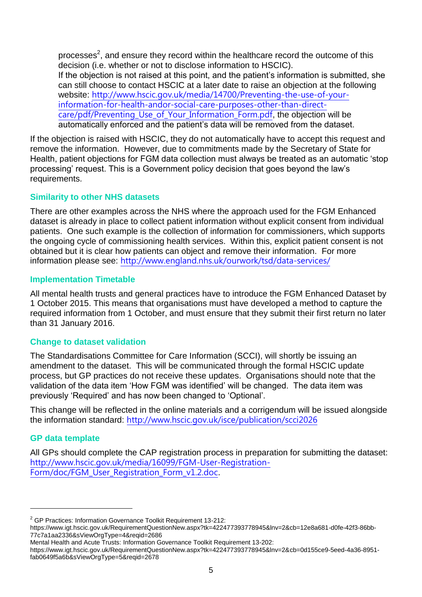processes<sup>2</sup>, and ensure they record within the healthcare record the outcome of this can still choose to contact HSCIC at a later date to raise an objection at the following automatically enforced and the patient's data will be removed from the dataset. decision (i.e. whether or not to disclose information to HSCIC). If the objection is not raised at this point, and the patient's information is submitted, she website: [http://www.hscic.gov.uk/media/14700/Preventing-the-use-of-your](http://www.hscic.gov.uk/media/14700/Preventing-the-use-of-your-information-for-health-andor-social-care-purposes-other-than-direct-care/pdf/Preventing_Use_of_Your_Information_Form.pdf)[information-for-health-andor-social-care-purposes-other-than-direct](http://www.hscic.gov.uk/media/14700/Preventing-the-use-of-your-information-for-health-andor-social-care-purposes-other-than-direct-care/pdf/Preventing_Use_of_Your_Information_Form.pdf)care/pdf/Preventing Use of Your Information Form.pdf, the objection will be

 If the objection is raised with HSCIC, they do not automatically have to accept this request and remove the information. However, due to commitments made by the Secretary of State for Health, patient objections for FGM data collection must always be treated as an automatic 'stop processing' request. This is a Government policy decision that goes beyond the law's requirements.

# **Similarity to other NHS datasets**

 patients. One such example is the collection of information for commissioners, which supports the ongoing cycle of commissioning health services. Within this, explicit patient consent is not There are other examples across the NHS where the approach used for the FGM Enhanced dataset is already in place to collect patient information without explicit consent from individual obtained but it is clear how patients can object and remove their information. For more information please see: <http://www.england.nhs.uk/ourwork/tsd/data-services/>

# **Implementation Timetable**

 required information from 1 October, and must ensure that they submit their first return no later All mental health trusts and general practices have to introduce the FGM Enhanced Dataset by 1 October 2015. This means that organisations must have developed a method to capture the than 31 January 2016.

# **Change to dataset validation**

 amendment to the dataset. This will be communicated through the formal HSCIC update The Standardisations Committee for Care Information (SCCI), will shortly be issuing an process, but GP practices do not receive these updates. Organisations should note that the validation of the data item 'How FGM was identified' will be changed. The data item was previously 'Required' and has now been changed to 'Optional'.

 This change will be reflected in the online materials and a corrigendum will be issued alongside the information standard: <http://www.hscic.gov.uk/isce/publication/scci2026>

# **GP data template**

l

 All GPs should complete the CAP registration process in preparation for submitting the dataset: [http://www.hscic.gov.uk/media/16099/FGM-User-Registration-](http://www.hscic.gov.uk/media/16099/FGM-User-Registration-Form/doc/FGM_User_Registration_Form_v1.2.doc)[Form/doc/FGM\\_User\\_Registration\\_Form\\_v1.2.doc](http://www.hscic.gov.uk/media/16099/FGM-User-Registration-Form/doc/FGM_User_Registration_Form_v1.2.doc).

<sup>&</sup>lt;sup>2</sup> GP Practices: Information Governance Toolkit Requirement 13-212:

https://www.igt.hscic.gov.uk/RequirementQuestionNew.aspx?tk=422477393778945&lnv=2&cb=12e8a681-d0fe-42f3-86bb-77c7a1aa2336&sViewOrgType=4&reqid=2686

Mental Health and Acute Trusts: Information Governance Toolkit Requirement 13-202:

https://www.igt.hscic.gov.uk/RequirementQuestionNew.aspx?tk=422477393778945&lnv=2&cb=0d155ce9-5eed-4a36-8951 fab0649f5a6b&sViewOrgType=5&reqid=2678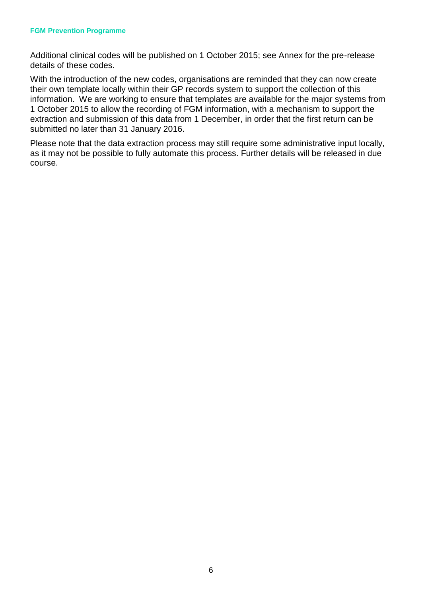#### **FGM Prevention Programme**

Additional clinical codes will be published on 1 October 2015; see Annex for the pre-release details of these codes.

 With the introduction of the new codes, organisations are reminded that they can now create information. We are working to ensure that templates are available for the major systems from extraction and submission of this data from 1 December, in order that the first return can be submitted no later than 31 January 2016. their own template locally within their GP records system to support the collection of this 1 October 2015 to allow the recording of FGM information, with a mechanism to support the

 as it may not be possible to fully automate this process. Further details will be released in due Please note that the data extraction process may still require some administrative input locally, course.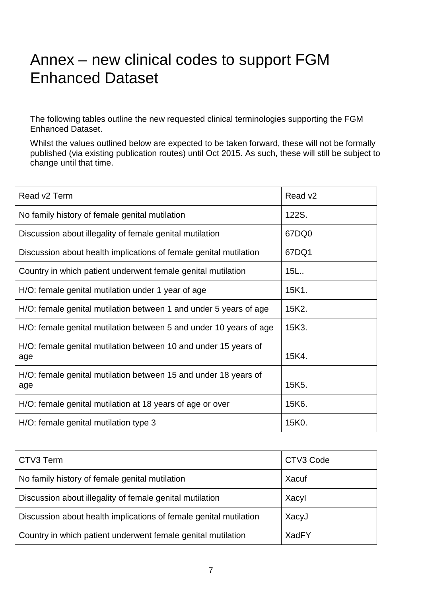# Annex – new clinical codes to support FGM Enhanced Dataset

Enhanced Dataset. The following tables outline the new requested clinical terminologies supporting the FGM

 published (via existing publication routes) until Oct 2015. As such, these will still be subject to Whilst the values outlined below are expected to be taken forward, these will not be formally change until that time.

| Read v2 Term                                                           | Read v <sub>2</sub> |
|------------------------------------------------------------------------|---------------------|
| No family history of female genital mutilation                         | 122S.               |
| Discussion about illegality of female genital mutilation               | 67DQ0               |
| Discussion about health implications of female genital mutilation      | 67DQ1               |
| Country in which patient underwent female genital mutilation           | 15L <sub>1</sub>    |
| H/O: female genital mutilation under 1 year of age                     | 15K1.               |
| H/O: female genital mutilation between 1 and under 5 years of age      | 15K2.               |
| H/O: female genital mutilation between 5 and under 10 years of age     | 15K3.               |
| H/O: female genital mutilation between 10 and under 15 years of<br>age | 15K4.               |
| H/O: female genital mutilation between 15 and under 18 years of<br>age | 15K <sub>5</sub> .  |
| H/O: female genital mutilation at 18 years of age or over              | 15K6.               |
| H/O: female genital mutilation type 3                                  | 15K0.               |

| CTV3 Term                                                         | CTV3 Code |
|-------------------------------------------------------------------|-----------|
| No family history of female genital mutilation                    | Xacuf     |
| Discussion about illegality of female genital mutilation          | Xacyl     |
| Discussion about health implications of female genital mutilation | XacyJ     |
| Country in which patient underwent female genital mutilation      | XadFY     |